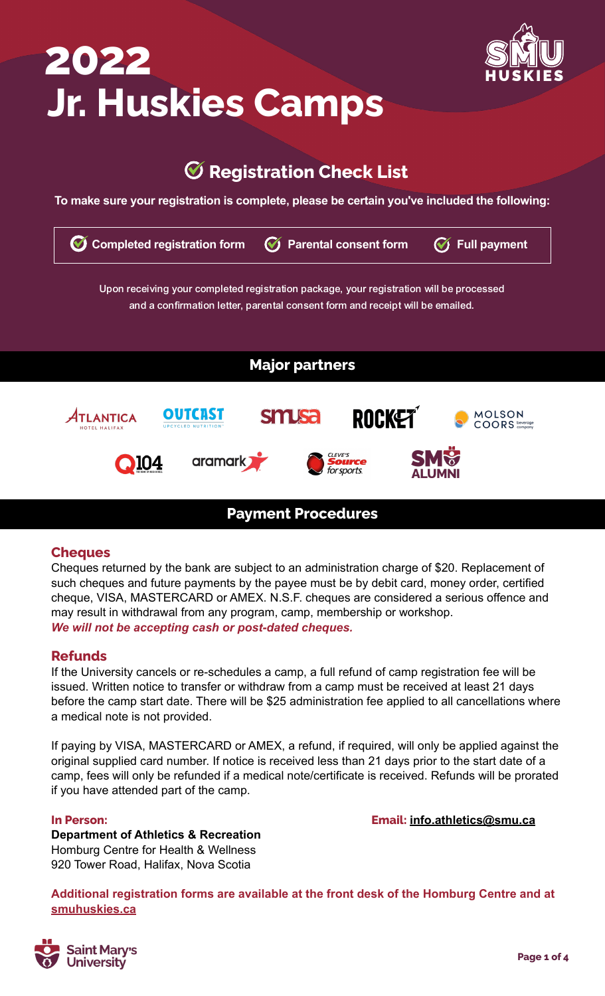# **Jr. Huskies Camps 2022 HUSKIES**



# **Registration Check List**

**To make sure your registration is complete, please be certain you've included the following:**

| <b>Completed registration form</b><br>$\blacklozenge$ | <b>Parental consent form</b>                                                                                                                                             | <b>Full payment</b> |
|-------------------------------------------------------|--------------------------------------------------------------------------------------------------------------------------------------------------------------------------|---------------------|
|                                                       | Upon receiving your completed registration package, your registration will be processed<br>and a confirmation letter, parental consent form and receipt will be emailed. |                     |
|                                                       | <b>Major partners</b>                                                                                                                                                    |                     |
| оита<br>UPCYCLED NUTRITION                            | <b>ROCKET</b><br><b>SMUSa</b>                                                                                                                                            | <b>MOLSON</b>       |
| HOTEL HALIFAX<br>aramark)                             | CLEVE'S<br><b>Source</b><br>for sports                                                                                                                                   |                     |
|                                                       |                                                                                                                                                                          |                     |

### **Cheques**

Cheques returned by the bank are subject to an administration charge of \$20. Replacement of such cheques and future payments by the payee must be by debit card, money order, certified cheque, VISA, MASTERCARD or AMEX. N.S.F. cheques are considered a serious offence and may result in withdrawal from any program, camp, membership or workshop. *We will not be accepting cash or post-dated cheques.*

### **Refunds**

If the University cancels or re-schedules a camp, a full refund of camp registration fee will be issued. Written notice to transfer or withdraw from a camp must be received at least 21 days before the camp start date. There will be \$25 administration fee applied to all cancellations where a medical note is not provided.

If paying by VISA, MASTERCARD or AMEX, a refund, if required, will only be applied against the original supplied card number. If notice is received less than 21 days prior to the start date of a camp, fees will only be refunded if a medical note/certificate is received. Refunds will be prorated if you have attended part of the camp.

### **In Person: Email: [info.athletics@smu.ca](mailto:info.athletics@smu.ca)**

**Department of Athletics & Recreation** Homburg Centre for Health & Wellness 920 Tower Road, Halifax, Nova Scotia

**Additional registration forms are available at the front desk of the Homburg Centre and at [smuhuskies.ca](http://smuhuskies.ca)**

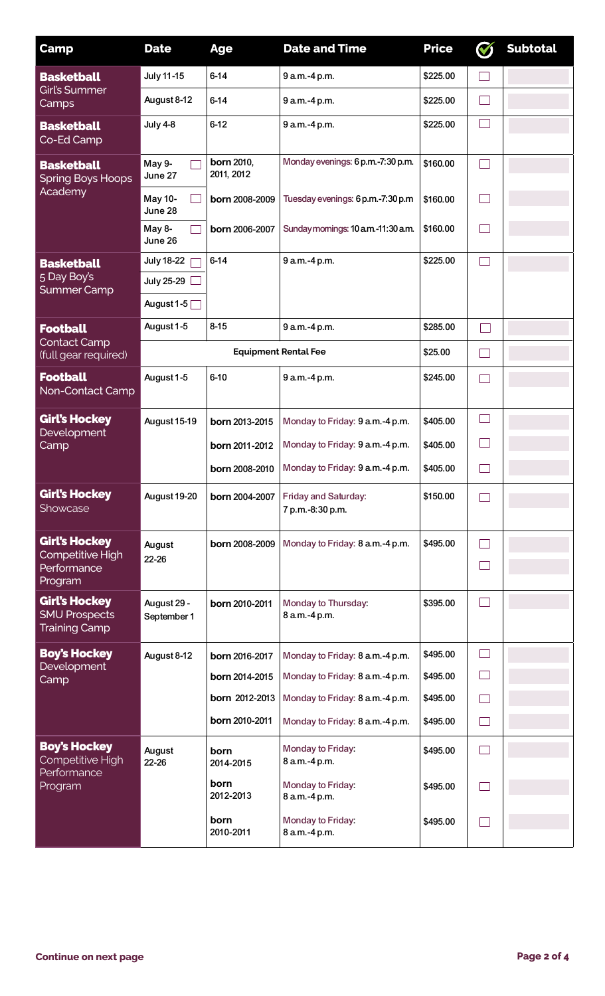| <b>Camp</b>                                                          | <b>Date</b>                | <b>Age</b>                      | <b>Date and Time</b>                     | <b>Price</b> | <b>Subtotal</b> |
|----------------------------------------------------------------------|----------------------------|---------------------------------|------------------------------------------|--------------|-----------------|
| <b>Basketball</b><br><b>Girl's Summer</b><br>Camps                   | <b>July 11-15</b>          | $6 - 14$                        | 9 a.m.-4 p.m.                            | \$225.00     |                 |
|                                                                      | August 8-12                | $6 - 14$                        | 9 a.m.-4 p.m.                            | \$225.00     |                 |
| <b>Basketball</b><br>Co-Ed Camp                                      | <b>July 4-8</b>            | $6-12$                          | 9 a.m.-4 p.m.                            | \$225.00     |                 |
| <b>Basketball</b><br><b>Spring Boys Hoops</b>                        | May 9-<br>June 27          | <b>born 2010,</b><br>2011, 2012 | Monday evenings: 6 p.m.-7:30 p.m.        | \$160.00     |                 |
| Academy                                                              | May 10-<br>June 28         | born 2008-2009                  | Tuesday evenings: 6 p.m.-7:30 p.m        | \$160.00     |                 |
|                                                                      | May 8-<br>June 26          | born 2006-2007                  | Sunday mornings: 10 a.m.-11:30 a.m.      | \$160.00     |                 |
| <b>Basketball</b>                                                    | <b>July 18-22</b>          | $6 - 14$                        | 9 a.m.-4 p.m.                            | \$225.00     |                 |
| 5 Day Boy's<br><b>Summer Camp</b>                                    | <b>July 25-29</b>          |                                 |                                          |              |                 |
|                                                                      | August 1-5 $\Box$          |                                 |                                          |              |                 |
| <b>Football</b>                                                      | August 1-5                 | $8 - 15$                        | 9 a.m.-4 p.m.                            | \$285.00     |                 |
| <b>Contact Camp</b><br>(full gear required)                          |                            |                                 | <b>Equipment Rental Fee</b>              | \$25.00      |                 |
| <b>Football</b><br>Non-Contact Camp                                  | August 1-5                 | $6 - 10$                        | 9 a.m.-4 p.m.                            | \$245.00     |                 |
| <b>Girl's Hockey</b><br>Development                                  | August 15-19               | born 2013-2015                  | Monday to Friday: 9 a.m.-4 p.m.          | \$405.00     |                 |
| Camp                                                                 |                            | born 2011-2012                  | Monday to Friday: 9 a.m.-4 p.m.          | \$405.00     |                 |
|                                                                      |                            | born 2008-2010                  | Monday to Friday: 9 a.m.-4 p.m.          | \$405.00     |                 |
| <b>Girl's Hockey</b><br>Showcase                                     | August 19-20               | born 2004-2007                  | Friday and Saturday:<br>7 p.m.-8:30 p.m. | \$150.00     |                 |
| <b>Girl's Hockey</b>                                                 | August                     | born 2008-2009                  | Monday to Friday: 8 a.m.-4 p.m.          | \$495.00     |                 |
| Competitive High<br>Performance<br>Program                           | 22-26                      |                                 |                                          |              |                 |
| <b>Girl's Hockey</b><br><b>SMU Prospects</b><br><b>Training Camp</b> | August 29 -<br>September 1 | born 2010-2011                  | Monday to Thursday:<br>8 a.m.-4 p.m.     | \$395.00     |                 |
| <b>Boy's Hockey</b>                                                  | August 8-12                | born 2016-2017                  | Monday to Friday: 8 a.m.-4 p.m.          | \$495.00     |                 |
| Development<br>Camp                                                  |                            | born 2014-2015                  | Monday to Friday: 8 a.m.-4 p.m.          | \$495.00     |                 |
|                                                                      |                            | <b>born</b> 2012-2013           | Monday to Friday: 8 a.m.-4 p.m.          | \$495.00     |                 |
|                                                                      |                            | born 2010-2011                  | Monday to Friday: 8 a.m.-4 p.m.          | \$495.00     |                 |
| <b>Boy's Hockey</b><br>Competitive High<br>Performance<br>Program    | August<br>22-26            | born<br>2014-2015               | Monday to Friday:<br>8 a.m.-4 p.m.       | \$495.00     |                 |
|                                                                      |                            | born<br>2012-2013               | Monday to Friday:<br>8 a.m.-4 p.m.       | \$495.00     |                 |
|                                                                      |                            | born<br>2010-2011               | Monday to Friday:<br>8 a.m.-4 p.m.       | \$495.00     |                 |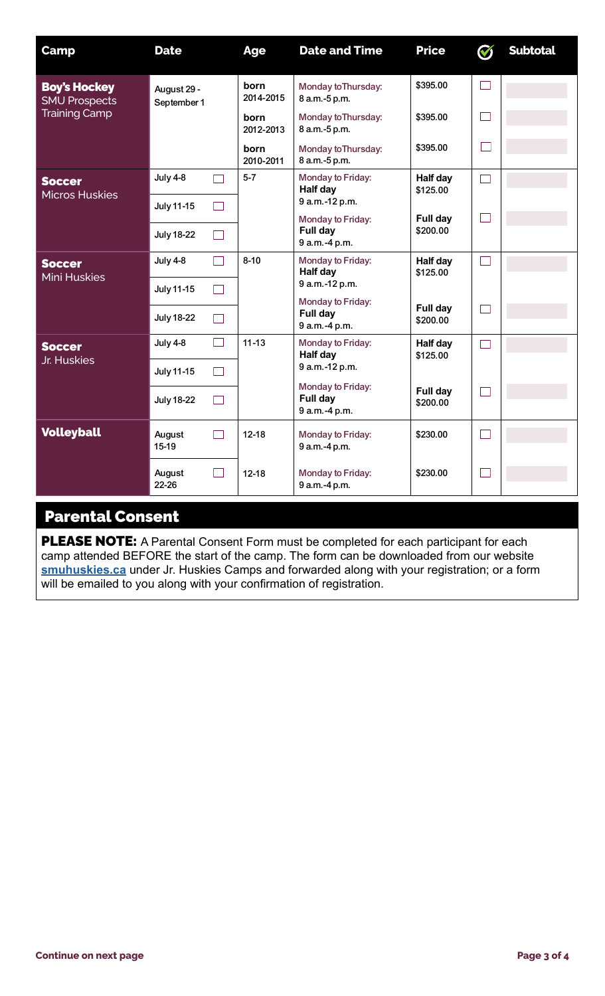| <b>Camp</b>                                                         | <b>Date</b>                        | <b>Age</b>        | <b>Date and Time</b>                                             | <b>Price</b>         | $\boldsymbol{\mathcal{G}}$ | <b>Subtotal</b> |
|---------------------------------------------------------------------|------------------------------------|-------------------|------------------------------------------------------------------|----------------------|----------------------------|-----------------|
| <b>Boy's Hockey</b><br><b>SMU Prospects</b><br><b>Training Camp</b> | August 29 -<br>September 1         | born<br>2014-2015 | Monday to Thursday:<br>8 a.m.-5 p.m.                             | \$395.00             |                            |                 |
|                                                                     |                                    | born<br>2012-2013 | Monday to Thursday:<br>8 a.m.-5 p.m.                             | \$395.00             |                            |                 |
|                                                                     |                                    | born<br>2010-2011 | Monday to Thursday:<br>8 a.m. -5 p.m.                            | \$395.00             |                            |                 |
| <b>Soccer</b><br><b>Micros Huskies</b>                              | July 4-8                           | $5 - 7$           | Monday to Friday:<br><b>Half day</b>                             | Half day<br>\$125.00 |                            |                 |
|                                                                     | July 11-15<br>- 1                  |                   | 9 a.m.-12 p.m.<br>Monday to Friday:                              | Full day<br>\$200.00 | l al                       |                 |
|                                                                     | <b>July 18-22</b>                  |                   | Full day<br>9 a.m.-4 p.m.                                        |                      |                            |                 |
| <b>Soccer</b><br><b>Mini Huskies</b>                                | <b>July 4-8</b><br>$\sim$          | $8 - 10$          | Monday to Friday:<br>Half day                                    | Half day<br>\$125.00 | l al                       |                 |
|                                                                     | <b>July 11-15</b><br>$\mathcal{L}$ |                   | 9 a.m.-12 p.m.<br>Monday to Friday:<br>Full day<br>9 a.m.-4 p.m. |                      |                            |                 |
|                                                                     | <b>July 18-22</b><br>$\mathcal{A}$ |                   |                                                                  | Full day<br>\$200.00 |                            |                 |
| <b>Soccer</b><br>Jr. Huskies                                        | July 4-8                           | $11 - 13$         | Monday to Friday:<br><b>Half day</b><br>9 a.m.-12 p.m.           | Half day<br>\$125.00 |                            |                 |
|                                                                     | July 11-15<br>- 1                  |                   |                                                                  |                      |                            |                 |
|                                                                     | <b>July 18-22</b>                  |                   | Monday to Friday:<br>Full day<br>9 a.m.-4 p.m.                   | Full day<br>\$200.00 |                            |                 |
| <b>Volleyball</b>                                                   | August<br>15-19                    | $12 - 18$         | Monday to Friday:<br>9 a.m.-4 p.m.                               | \$230.00             |                            |                 |
|                                                                     | August<br>22-26                    | $12 - 18$         | Monday to Friday:<br>9 a.m.-4 p.m.                               | \$230.00             |                            |                 |

# Parental Consent

PLEASE NOTE: A Parental Consent Form must be completed for each participant for each camp attended BEFORE the start of the camp. The form can be downloaded from our website **[smuhuskies.ca](http://smuhuskies.ca)** under Jr. Huskies Camps and forwarded along with your registration; or a form will be emailed to you along with your confirmation of registration.